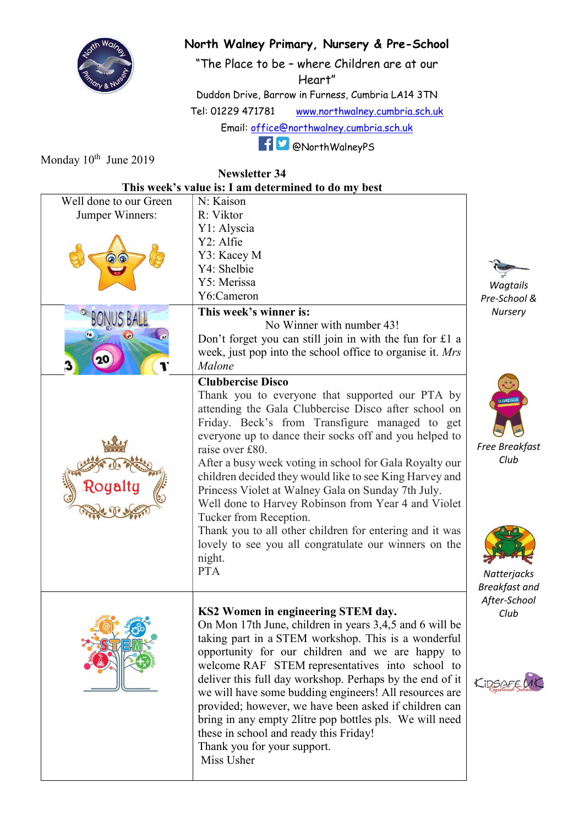

## North Walney Primary, Nursery & Pre-School

"The Place to be – where Children are at our Heart"

Duddon Drive, Barrow in Furness, Cumbria LA14 3TN Tel: 01229 471781 www.northwalney.cumbria.sch.uk Email: office@northwalney.cumbria.sch.uk

Monday 10<sup>th</sup> June 2019

## @NorthWalneyPS

| <b>Newsletter 34</b>                                |                                                           |                      |  |
|-----------------------------------------------------|-----------------------------------------------------------|----------------------|--|
| This week's value is: I am determined to do my best |                                                           |                      |  |
| Well done to our Green                              | N: Kaison                                                 |                      |  |
| Jumper Winners:                                     | R: Viktor                                                 |                      |  |
|                                                     | Y1: Alyscia                                               |                      |  |
|                                                     | Y2: Alfie                                                 |                      |  |
|                                                     | Y3: Kacey M                                               |                      |  |
|                                                     | Y4: Shelbie                                               |                      |  |
|                                                     | Y5: Merissa                                               | Wagtails             |  |
|                                                     | Y6:Cameron                                                | Pre-School &         |  |
|                                                     | This week's winner is:                                    | Nursery              |  |
|                                                     | No Winner with number 43!                                 |                      |  |
|                                                     | Don't forget you can still join in with the fun for £1 a  |                      |  |
|                                                     | week, just pop into the school office to organise it. Mrs |                      |  |
|                                                     | Malone                                                    |                      |  |
|                                                     | <b>Clubbercise Disco</b>                                  |                      |  |
|                                                     | Thank you to everyone that supported our PTA by           | <b>:GREGG</b>        |  |
|                                                     | attending the Gala Clubbercise Disco after school on      |                      |  |
|                                                     | Friday. Beck's from Transfigure managed to get            |                      |  |
|                                                     | everyone up to dance their socks off and you helped to    |                      |  |
|                                                     | raise over £80.                                           | Free Breakfast       |  |
|                                                     | After a busy week voting in school for Gala Royalty our   | Club                 |  |
|                                                     | children decided they would like to see King Harvey and   |                      |  |
|                                                     | Princess Violet at Walney Gala on Sunday 7th July.        |                      |  |
|                                                     | Well done to Harvey Robinson from Year 4 and Violet       |                      |  |
|                                                     | Tucker from Reception.                                    |                      |  |
|                                                     | Thank you to all other children for entering and it was   |                      |  |
|                                                     | lovely to see you all congratulate our winners on the     |                      |  |
|                                                     | night.                                                    |                      |  |
|                                                     | <b>PTA</b>                                                | Natterjacks          |  |
|                                                     |                                                           | <b>Breakfast and</b> |  |
|                                                     |                                                           | After-School         |  |
|                                                     | KS2 Women in engineering STEM day.                        | Club                 |  |
|                                                     | On Mon 17th June, children in years 3,4,5 and 6 will be   |                      |  |
|                                                     | taking part in a STEM workshop. This is a wonderful       |                      |  |
|                                                     | opportunity for our children and we are happy to          |                      |  |
|                                                     | welcome RAF STEM representatives into school to           |                      |  |
|                                                     | deliver this full day workshop. Perhaps by the end of it  | CiDSAF               |  |
|                                                     | we will have some budding engineers! All resources are    |                      |  |
|                                                     | provided; however, we have been asked if children can     |                      |  |
|                                                     | bring in any empty 2litre pop bottles pls. We will need   |                      |  |
|                                                     | these in school and ready this Friday!                    |                      |  |
|                                                     | Thank you for your support.                               |                      |  |
|                                                     | Miss Usher                                                |                      |  |
|                                                     |                                                           |                      |  |